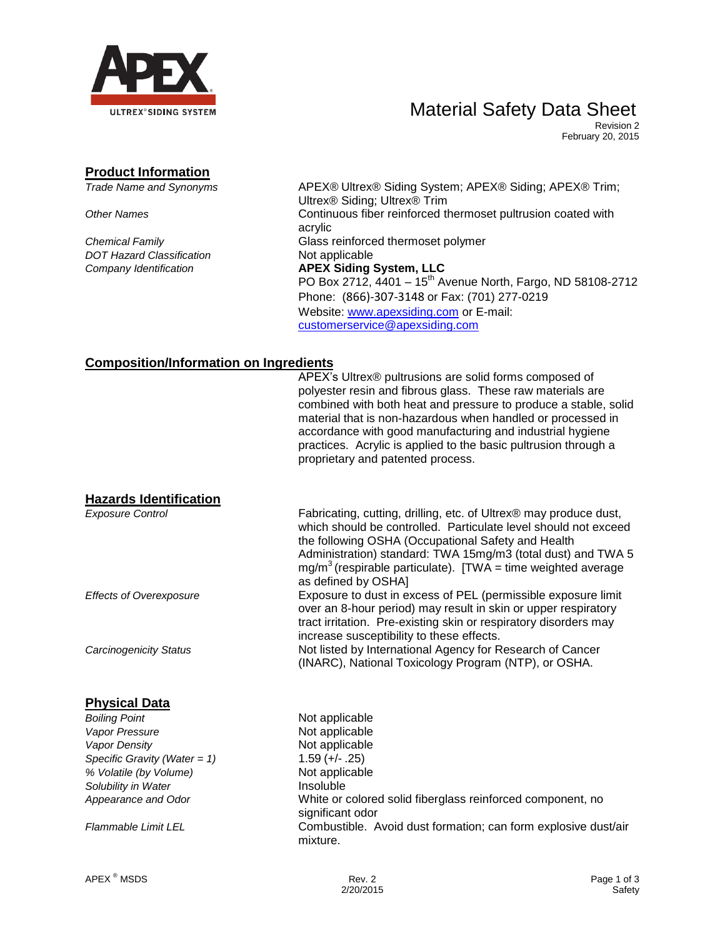

### Material Safety Data Sheet

Revision 2 February 20, 2015

#### **Product Information**

*DOT Hazard Classification* Not applicable

*Trade Name and Synonyms* APEX® Ultrex® Siding System; APEX® Siding; APEX® Trim; Ultrex® Siding; Ultrex® Trim **Other Names** Continuous fiber reinforced thermoset pultrusion coated with acrylic *Chemical Family* Glass reinforced thermoset polymer *Company Identification* **APEX Siding System, LLC**  PO Box 2712,  $4401 - 15^{th}$  Avenue North, Fargo, ND 58108-2712 Phone: (866)-307-3148 or Fax: (701) 277-0219 Website: [www.apexsiding.com](http://www.apexsiding.com/) or E-mail: [customerservice@apexsiding.com](mailto:customerservice@apexsiding.com)

#### **Composition/Information on Ingredients**

|                                 | APEX's Ultrex® pultrusions are solid forms composed of<br>polyester resin and fibrous glass. These raw materials are<br>combined with both heat and pressure to produce a stable, solid<br>material that is non-hazardous when handled or processed in<br>accordance with good manufacturing and industrial hygiene<br>practices. Acrylic is applied to the basic pultrusion through a<br>proprietary and patented process. |
|---------------------------------|-----------------------------------------------------------------------------------------------------------------------------------------------------------------------------------------------------------------------------------------------------------------------------------------------------------------------------------------------------------------------------------------------------------------------------|
| <b>Hazards Identification</b>   |                                                                                                                                                                                                                                                                                                                                                                                                                             |
| <b>Exposure Control</b>         | Fabricating, cutting, drilling, etc. of Ultrex <sup>®</sup> may produce dust,<br>which should be controlled. Particulate level should not exceed<br>the following OSHA (Occupational Safety and Health<br>Administration) standard: TWA 15mg/m3 (total dust) and TWA 5<br>$mg/m3$ (respirable particulate). [TWA = time weighted average<br>as defined by OSHA]                                                             |
| <b>Effects of Overexposure</b>  | Exposure to dust in excess of PEL (permissible exposure limit<br>over an 8-hour period) may result in skin or upper respiratory<br>tract irritation. Pre-existing skin or respiratory disorders may<br>increase susceptibility to these effects.                                                                                                                                                                            |
| <b>Carcinogenicity Status</b>   | Not listed by International Agency for Research of Cancer<br>(INARC), National Toxicology Program (NTP), or OSHA.                                                                                                                                                                                                                                                                                                           |
| <b>Physical Data</b>            |                                                                                                                                                                                                                                                                                                                                                                                                                             |
| <b>Boiling Point</b>            | Not applicable                                                                                                                                                                                                                                                                                                                                                                                                              |
| Vapor Pressure                  | Not applicable                                                                                                                                                                                                                                                                                                                                                                                                              |
| Vapor Density                   | Not applicable                                                                                                                                                                                                                                                                                                                                                                                                              |
| Specific Gravity (Water = $1$ ) | $1.59 (+/- .25)$                                                                                                                                                                                                                                                                                                                                                                                                            |

*% Volatile (by Volume)* Not applicable **Solubility in Water Insoluble** 

*Appearance and Odor* White or colored solid fiberglass reinforced component, no significant odor *Flammable Limit LEL* Combustible. Avoid dust formation; can form explosive dust/air mixture.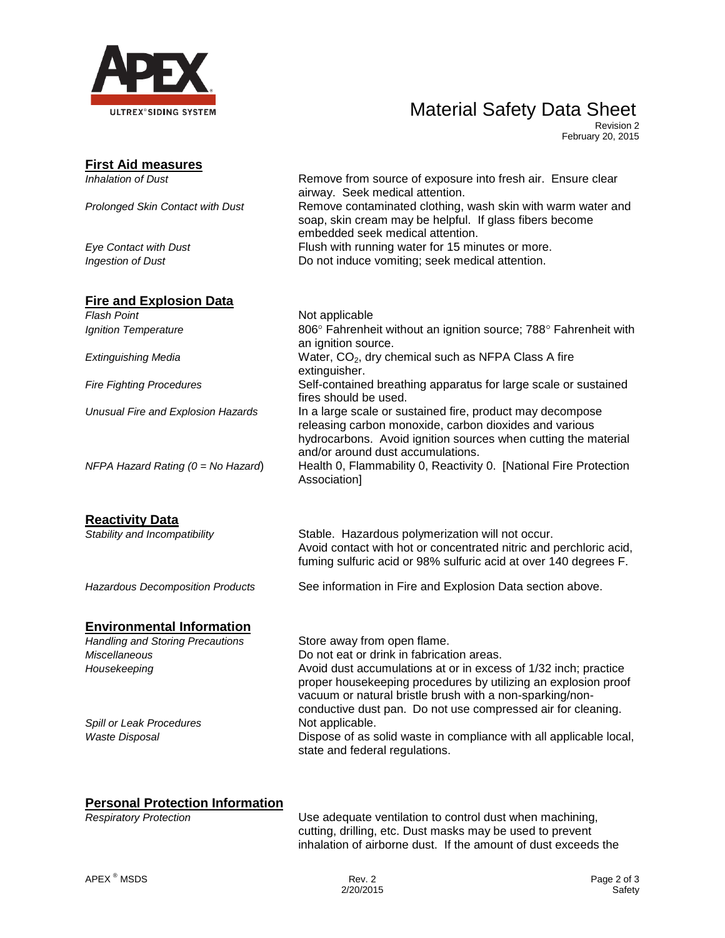

# Material Safety Data Sheet

Revision 2 February 20, 2015

| <b>First Aid measures</b>               |                                                                                                                                                                                                                                                               |
|-----------------------------------------|---------------------------------------------------------------------------------------------------------------------------------------------------------------------------------------------------------------------------------------------------------------|
| <b>Inhalation of Dust</b>               | Remove from source of exposure into fresh air. Ensure clear<br>airway. Seek medical attention.                                                                                                                                                                |
| Prolonged Skin Contact with Dust        | Remove contaminated clothing, wash skin with warm water and<br>soap, skin cream may be helpful. If glass fibers become<br>embedded seek medical attention.                                                                                                    |
| <b>Eye Contact with Dust</b>            | Flush with running water for 15 minutes or more.                                                                                                                                                                                                              |
| Ingestion of Dust                       | Do not induce vomiting; seek medical attention.                                                                                                                                                                                                               |
| <b>Fire and Explosion Data</b>          |                                                                                                                                                                                                                                                               |
| <b>Flash Point</b>                      | Not applicable                                                                                                                                                                                                                                                |
| Ignition Temperature                    | 806° Fahrenheit without an ignition source; 788° Fahrenheit with<br>an ignition source.                                                                                                                                                                       |
| Extinguishing Media                     | Water, CO <sub>2</sub> , dry chemical such as NFPA Class A fire<br>extinguisher.                                                                                                                                                                              |
| <b>Fire Fighting Procedures</b>         | Self-contained breathing apparatus for large scale or sustained<br>fires should be used.                                                                                                                                                                      |
| Unusual Fire and Explosion Hazards      | In a large scale or sustained fire, product may decompose<br>releasing carbon monoxide, carbon dioxides and various<br>hydrocarbons. Avoid ignition sources when cutting the material<br>and/or around dust accumulations.                                    |
| NFPA Hazard Rating (0 = No Hazard)      | Health 0, Flammability 0, Reactivity 0. [National Fire Protection<br>Association]                                                                                                                                                                             |
| <b>Reactivity Data</b>                  |                                                                                                                                                                                                                                                               |
| Stability and Incompatibility           | Stable. Hazardous polymerization will not occur.<br>Avoid contact with hot or concentrated nitric and perchloric acid,<br>fuming sulfuric acid or 98% sulfuric acid at over 140 degrees F.                                                                    |
| <b>Hazardous Decomposition Products</b> | See information in Fire and Explosion Data section above.                                                                                                                                                                                                     |
| <b>Environmental Information</b>        |                                                                                                                                                                                                                                                               |
| <b>Handling and Storing Precautions</b> | Store away from open flame.                                                                                                                                                                                                                                   |
| <b>Miscellaneous</b>                    | Do not eat or drink in fabrication areas.                                                                                                                                                                                                                     |
| Housekeeping                            | Avoid dust accumulations at or in excess of 1/32 inch; practice<br>proper housekeeping procedures by utilizing an explosion proof<br>vacuum or natural bristle brush with a non-sparking/non-<br>conductive dust pan. Do not use compressed air for cleaning. |
| Spill or Leak Procedures                | Not applicable.                                                                                                                                                                                                                                               |
| <b>Waste Disposal</b>                   | Dispose of as solid waste in compliance with all applicable local,<br>state and federal regulations.                                                                                                                                                          |

### **Personal Protection Information**

*Respiratory Protection* Use adequate ventilation to control dust when machining, cutting, drilling, etc. Dust masks may be used to prevent inhalation of airborne dust. If the amount of dust exceeds the